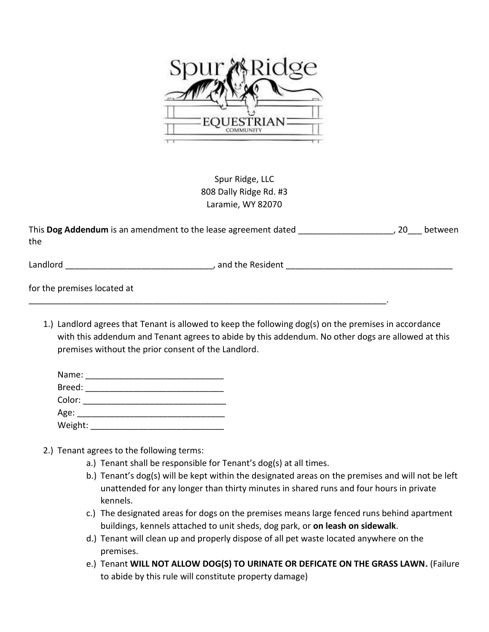

Spur Ridge, LLC 808 Dally Ridge Rd. #3 Laramie, WY 82070

| This Dog Addendum is an amendment to the lease agreement dated | between |
|----------------------------------------------------------------|---------|
| the                                                            |         |

Landlord \_\_\_\_\_\_\_\_\_\_\_\_\_\_\_\_\_\_\_\_\_\_\_\_\_\_\_\_\_\_\_, and the Resident \_\_\_\_\_\_\_\_\_\_\_\_\_\_\_\_\_\_\_\_\_\_\_\_\_\_\_\_\_\_\_\_\_\_\_

for the premises located at

1.) Landlord agrees that Tenant is allowed to keep the following dog(s) on the premises in accordance with this addendum and Tenant agrees to abide by this addendum. No other dogs are allowed at this premises without the prior consent of the Landlord.

| Name:   |  |  |
|---------|--|--|
| Breed:  |  |  |
| Color:  |  |  |
| Age:    |  |  |
| Weight: |  |  |

- 2.) Tenant agrees to the following terms:
	- a.) Tenant shall be responsible for Tenant's dog(s) at all times.

\_\_\_\_\_\_\_\_\_\_\_\_\_\_\_\_\_\_\_\_\_\_\_\_\_\_\_\_\_\_\_\_\_\_\_\_\_\_\_\_\_\_\_\_\_\_\_\_\_\_\_\_\_\_\_\_\_\_\_\_\_\_\_\_\_\_\_\_\_\_\_\_\_\_\_.

- b.) Tenant's dog(s) will be kept within the designated areas on the premises and will not be left unattended for any longer than thirty minutes in shared runs and four hours in private kennels.
- c.) The designated areas for dogs on the premises means large fenced runs behind apartment buildings, kennels attached to unit sheds, dog park, or **on leash on sidewalk**.
- d.) Tenant will clean up and properly dispose of all pet waste located anywhere on the premises.
- e.) Tenant **WILL NOT ALLOW DOG(S) TO URINATE OR DEFICATE ON THE GRASS LAWN.** (Failure to abide by this rule will constitute property damage)